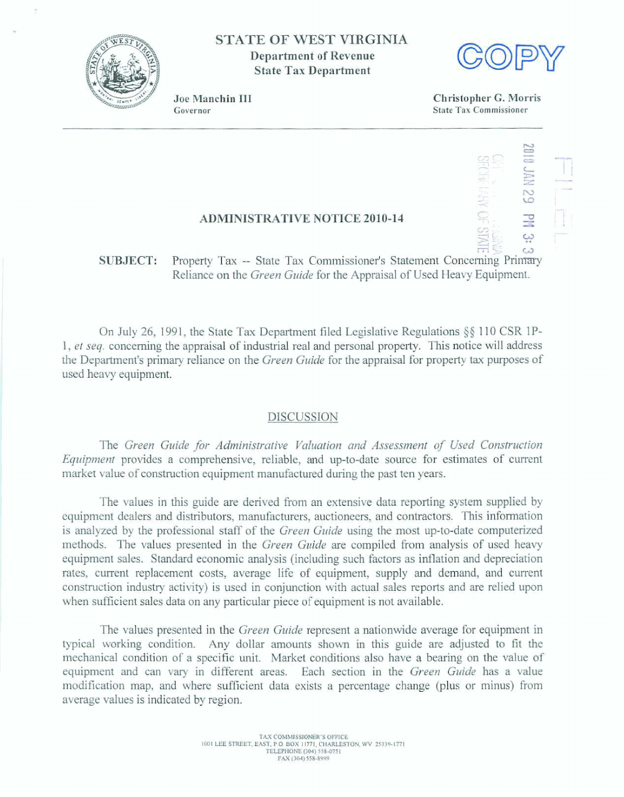

**STATE OF WEST VIRGINIA Department of Revenue State Tax Department** 



Joe Manchin III Governor

**Christopher** *G.* **Morris State Tax Commissioner** 

## **ADMINISTRATIVE NOTICE 2010-14**

ب:<br>SUBJECT: Property Tax -- State Tax Commissioner's Statement Concerning Primary **Reliance** on **the** *Green Guide* **for the Appraisal of Used Heavy Equipment.** 

**On July** 26, 1 **99 1, the State Tax** Department **fled Legislative Regulations \$4** 1 1 0 CSR **1 P-1, et** *seq.* **concerning** the **appraisal** of industrid **red** and **persod** property. **This** notice wil I **address the Department's primary reliance on the** *Green Guide* **for the appraisal for property tax purposes of used** heavy equipment.

## **DTSCUSSION**

**The Green Guide for Administrative Valuation and Assessment of Used Construction** *Equipment* **provides a** comprehensive, **reliable,** and **up-to-date source** for **estimates of current market value** of **construction equipment** manufactured during **the past ten years.** 

Tbe **values in this** guide are **derived** from **an extensive** data **reporting system supplied by equipment** dealers **and** distributors, manufacturers, auctioneers, and contractors. **This** information is analyzed **by** the **professional** staff of **the** *Green Guide* **using the most np-to-date** computerized methods. The **values presented in** the *Green* **Guide are** compiled **fiom** analysis of **used** heavy **equipment sales. Standard** econamic **analysis (including such factors as inflation and depreciation rates, current replacement costs, average life** of **equipment, supply** and demand, and **current construction industry** activity) **is used in conjunction with actual sales** reports **and are relied upon when sufGcient sales** data **on** any particular **piece** of **equipment is** not available.

The **values** presented in the *Green* **Guide represent a** nationwide **average for equipment** in **typical working** condition. **Any dollar** amounts **shown** in **this guide are adjusted to fit the**  mechanical condition of a specific unit. Market conditions also have a bearing on the value of **equipment and can vary in different areas. Each** section in **the** *Green* Guide **has a value**  modification map, and where sufficient data exists a percentage change (plus or minus) from **average dues is indicated by** region.